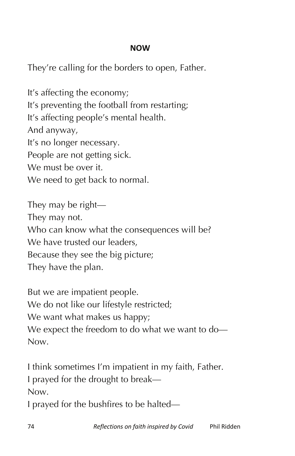## **NOW**

They're calling for the borders to open, Father.

It's affecting the economy; It's preventing the football from restarting; It's affecting people's mental health. And anyway, It's no longer necessary. People are not getting sick. We must be over it. We need to get back to normal.

They may be right— They may not. Who can know what the consequences will be? We have trusted our leaders. Because they see the big picture; They have the plan.

But we are impatient people. We do not like our lifestyle restricted; We want what makes us happy; We expect the freedom to do what we want to do— Now.

I think sometimes I'm impatient in my faith, Father. I prayed for the drought to break— Now. I prayed for the bushfires to be halted